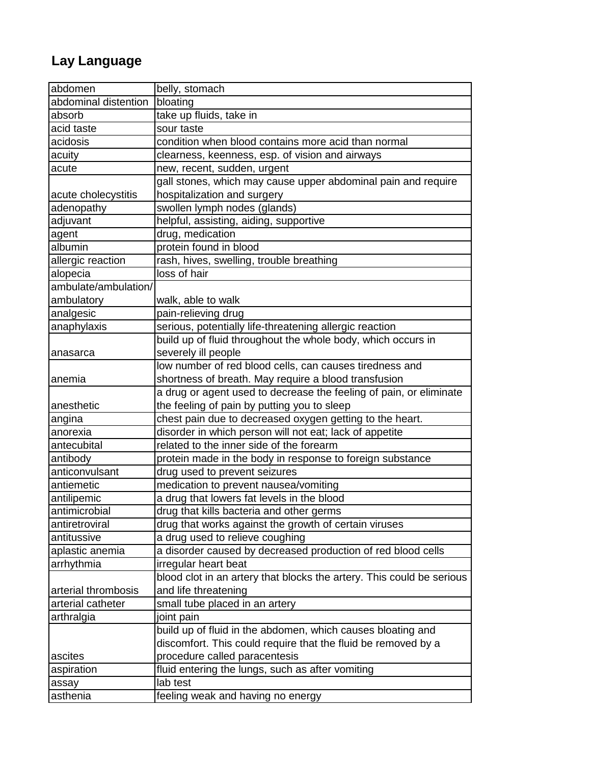## **Lay Language**

| abdomen              | belly, stomach                                                        |
|----------------------|-----------------------------------------------------------------------|
| abdominal distention | bloating                                                              |
| absorb               | take up fluids, take in                                               |
| acid taste           | sour taste                                                            |
| acidosis             | condition when blood contains more acid than normal                   |
| acuity               | clearness, keenness, esp. of vision and airways                       |
| acute                | new, recent, sudden, urgent                                           |
|                      | gall stones, which may cause upper abdominal pain and require         |
| acute cholecystitis  | hospitalization and surgery                                           |
| adenopathy           | swollen lymph nodes (glands)                                          |
| adjuvant             | helpful, assisting, aiding, supportive                                |
| agent                | drug, medication                                                      |
| albumin              | protein found in blood                                                |
| allergic reaction    | rash, hives, swelling, trouble breathing                              |
| alopecia             | loss of hair                                                          |
| ambulate/ambulation/ |                                                                       |
| ambulatory           | walk, able to walk                                                    |
| analgesic            | pain-relieving drug                                                   |
| anaphylaxis          | serious, potentially life-threatening allergic reaction               |
|                      | build up of fluid throughout the whole body, which occurs in          |
| anasarca             | severely ill people                                                   |
|                      | low number of red blood cells, can causes tiredness and               |
| anemia               | shortness of breath. May require a blood transfusion                  |
|                      | a drug or agent used to decrease the feeling of pain, or eliminate    |
| anesthetic           | the feeling of pain by putting you to sleep                           |
| angina               | chest pain due to decreased oxygen getting to the heart.              |
| anorexia             | disorder in which person will not eat; lack of appetite               |
| antecubital          | related to the inner side of the forearm                              |
| antibody             | protein made in the body in response to foreign substance             |
| anticonvulsant       | drug used to prevent seizures                                         |
| antiemetic           | medication to prevent nausea/vomiting                                 |
| antilipemic          | a drug that lowers fat levels in the blood                            |
| antimicrobial        | drug that kills bacteria and other germs                              |
| antiretroviral       | drug that works against the growth of certain viruses                 |
| antitussive          | a drug used to relieve coughing                                       |
| aplastic anemia      | a disorder caused by decreased production of red blood cells          |
| arrhythmia           | irregular heart beat                                                  |
|                      | blood clot in an artery that blocks the artery. This could be serious |
| arterial thrombosis  | and life threatening                                                  |
| arterial catheter    | small tube placed in an artery                                        |
| arthralgia           | joint pain                                                            |
|                      | build up of fluid in the abdomen, which causes bloating and           |
|                      | discomfort. This could require that the fluid be removed by a         |
| ascites              | procedure called paracentesis                                         |
| aspiration           | fluid entering the lungs, such as after vomiting                      |
|                      | lab test                                                              |
| assay<br>asthenia    |                                                                       |
|                      | feeling weak and having no energy                                     |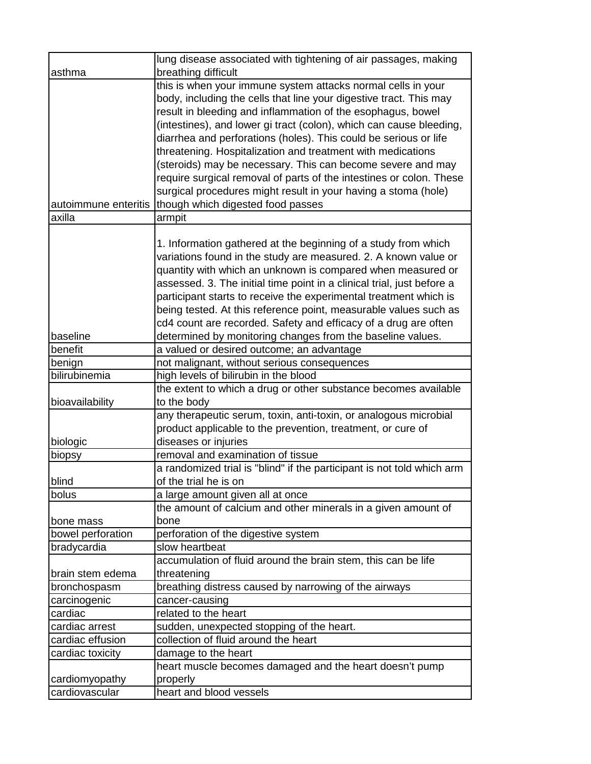|                      | lung disease associated with tightening of air passages, making        |
|----------------------|------------------------------------------------------------------------|
| asthma               | breathing difficult                                                    |
|                      | this is when your immune system attacks normal cells in your           |
|                      | body, including the cells that line your digestive tract. This may     |
|                      | result in bleeding and inflammation of the esophagus, bowel            |
|                      | (intestines), and lower gi tract (colon), which can cause bleeding,    |
|                      | diarrhea and perforations (holes). This could be serious or life       |
|                      | threatening. Hospitalization and treatment with medications            |
|                      | (steroids) may be necessary. This can become severe and may            |
|                      | require surgical removal of parts of the intestines or colon. These    |
|                      | surgical procedures might result in your having a stoma (hole)         |
| autoimmune enteritis | though which digested food passes                                      |
| axilla               | armpit                                                                 |
|                      |                                                                        |
|                      | 1. Information gathered at the beginning of a study from which         |
|                      | variations found in the study are measured. 2. A known value or        |
|                      | quantity with which an unknown is compared when measured or            |
|                      | assessed. 3. The initial time point in a clinical trial, just before a |
|                      | participant starts to receive the experimental treatment which is      |
|                      | being tested. At this reference point, measurable values such as       |
|                      | cd4 count are recorded. Safety and efficacy of a drug are often        |
| baseline             | determined by monitoring changes from the baseline values.             |
| benefit              | a valued or desired outcome; an advantage                              |
| benign               | not malignant, without serious consequences                            |
| bilirubinemia        | high levels of bilirubin in the blood                                  |
|                      | the extent to which a drug or other substance becomes available        |
| bioavailability      | to the body                                                            |
|                      | any therapeutic serum, toxin, anti-toxin, or analogous microbial       |
|                      | product applicable to the prevention, treatment, or cure of            |
| biologic             | diseases or injuries                                                   |
| biopsy               | removal and examination of tissue                                      |
|                      | a randomized trial is "blind" if the participant is not told which arm |
| blind                | of the trial he is on                                                  |
| bolus                | a large amount given all at once                                       |
|                      | the amount of calcium and other minerals in a given amount of          |
| bone mass            | bone                                                                   |
| bowel perforation    | perforation of the digestive system                                    |
| bradycardia          | slow heartbeat                                                         |
|                      | accumulation of fluid around the brain stem, this can be life          |
| brain stem edema     | threatening                                                            |
| bronchospasm         | breathing distress caused by narrowing of the airways                  |
| carcinogenic         | cancer-causing                                                         |
| cardiac              | related to the heart                                                   |
| cardiac arrest       | sudden, unexpected stopping of the heart.                              |
| cardiac effusion     | collection of fluid around the heart                                   |
| cardiac toxicity     | damage to the heart                                                    |
|                      | heart muscle becomes damaged and the heart doesn't pump                |
| cardiomyopathy       | properly<br>heart and blood vessels                                    |
| cardiovascular       |                                                                        |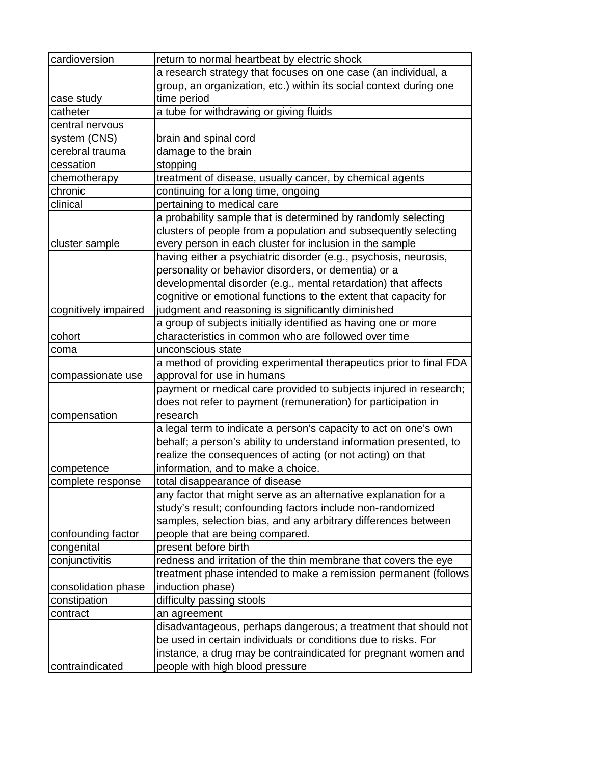| cardioversion        | return to normal heartbeat by electric shock                       |
|----------------------|--------------------------------------------------------------------|
|                      | a research strategy that focuses on one case (an individual, a     |
|                      | group, an organization, etc.) within its social context during one |
| case study           | time period                                                        |
| catheter             | a tube for withdrawing or giving fluids                            |
| central nervous      |                                                                    |
| system (CNS)         | brain and spinal cord                                              |
| cerebral trauma      | damage to the brain                                                |
| cessation            | stopping                                                           |
| chemotherapy         | treatment of disease, usually cancer, by chemical agents           |
| chronic              | continuing for a long time, ongoing                                |
| clinical             | pertaining to medical care                                         |
|                      | a probability sample that is determined by randomly selecting      |
|                      | clusters of people from a population and subsequently selecting    |
| cluster sample       | every person in each cluster for inclusion in the sample           |
|                      | having either a psychiatric disorder (e.g., psychosis, neurosis,   |
|                      | personality or behavior disorders, or dementia) or a               |
|                      | developmental disorder (e.g., mental retardation) that affects     |
|                      | cognitive or emotional functions to the extent that capacity for   |
| cognitively impaired | judgment and reasoning is significantly diminished                 |
|                      | a group of subjects initially identified as having one or more     |
| cohort               | characteristics in common who are followed over time               |
| coma                 | unconscious state                                                  |
|                      | a method of providing experimental therapeutics prior to final FDA |
| compassionate use    | approval for use in humans                                         |
|                      | payment or medical care provided to subjects injured in research;  |
|                      | does not refer to payment (remuneration) for participation in      |
| compensation         | research                                                           |
|                      | a legal term to indicate a person's capacity to act on one's own   |
|                      | behalf; a person's ability to understand information presented, to |
|                      | realize the consequences of acting (or not acting) on that         |
| competence           | information, and to make a choice.                                 |
| complete response    | total disappearance of disease                                     |
|                      | any factor that might serve as an alternative explanation for a    |
|                      | study's result; confounding factors include non-randomized         |
|                      | samples, selection bias, and any arbitrary differences between     |
| confounding factor   | people that are being compared.                                    |
| congenital           | present before birth                                               |
| conjunctivitis       | redness and irritation of the thin membrane that covers the eye    |
|                      | treatment phase intended to make a remission permanent (follows    |
| consolidation phase  | induction phase)                                                   |
| constipation         | difficulty passing stools                                          |
| contract             | an agreement                                                       |
|                      | disadvantageous, perhaps dangerous; a treatment that should not    |
|                      | be used in certain individuals or conditions due to risks. For     |
|                      | instance, a drug may be contraindicated for pregnant women and     |
| contraindicated      | people with high blood pressure                                    |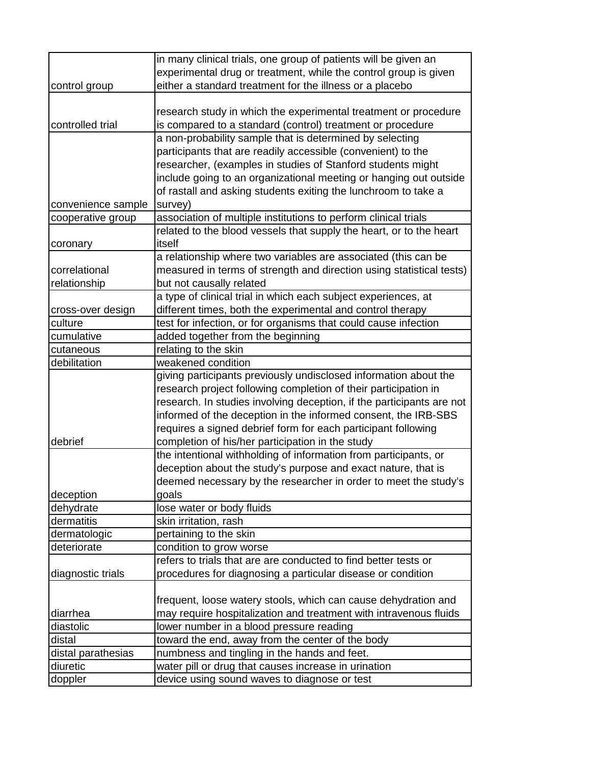|                     | in many clinical trials, one group of patients will be given an                                      |
|---------------------|------------------------------------------------------------------------------------------------------|
|                     | experimental drug or treatment, while the control group is given                                     |
| control group       | either a standard treatment for the illness or a placebo                                             |
|                     |                                                                                                      |
|                     | research study in which the experimental treatment or procedure                                      |
| controlled trial    | is compared to a standard (control) treatment or procedure                                           |
|                     | a non-probability sample that is determined by selecting                                             |
|                     | participants that are readily accessible (convenient) to the                                         |
|                     | researcher, (examples in studies of Stanford students might                                          |
|                     | include going to an organizational meeting or hanging out outside                                    |
|                     | of rastall and asking students exiting the lunchroom to take a                                       |
| convenience sample  | survey)                                                                                              |
| cooperative group   | association of multiple institutions to perform clinical trials                                      |
|                     | related to the blood vessels that supply the heart, or to the heart                                  |
|                     | itself                                                                                               |
| coronary            | a relationship where two variables are associated (this can be                                       |
| correlational       |                                                                                                      |
|                     | measured in terms of strength and direction using statistical tests)                                 |
| relationship        | but not causally related                                                                             |
|                     | a type of clinical trial in which each subject experiences, at                                       |
| cross-over design   | different times, both the experimental and control therapy                                           |
| culture             | test for infection, or for organisms that could cause infection                                      |
| cumulative          | added together from the beginning                                                                    |
| cutaneous           | relating to the skin                                                                                 |
| debilitation        | weakened condition                                                                                   |
|                     | giving participants previously undisclosed information about the                                     |
|                     | research project following completion of their participation in                                      |
|                     | research. In studies involving deception, if the participants are not                                |
|                     | informed of the deception in the informed consent, the IRB-SBS                                       |
|                     | requires a signed debrief form for each participant following                                        |
| debrief             | completion of his/her participation in the study                                                     |
|                     | the intentional withholding of information from participants, or                                     |
|                     | deception about the study's purpose and exact nature, that is                                        |
|                     | deemed necessary by the researcher in order to meet the study's                                      |
| deception           | goals                                                                                                |
| dehydrate           | lose water or body fluids                                                                            |
| dermatitis          | skin irritation, rash                                                                                |
| dermatologic        | pertaining to the skin                                                                               |
| deteriorate         | condition to grow worse                                                                              |
|                     | refers to trials that are are conducted to find better tests or                                      |
| diagnostic trials   | procedures for diagnosing a particular disease or condition                                          |
|                     |                                                                                                      |
|                     | frequent, loose watery stools, which can cause dehydration and                                       |
| diarrhea            | may require hospitalization and treatment with intravenous fluids                                    |
|                     |                                                                                                      |
| diastolic           | lower number in a blood pressure reading                                                             |
| distal              |                                                                                                      |
|                     | toward the end, away from the center of the body                                                     |
| distal parathesias  | numbness and tingling in the hands and feet.                                                         |
| diuretic<br>doppler | water pill or drug that causes increase in urination<br>device using sound waves to diagnose or test |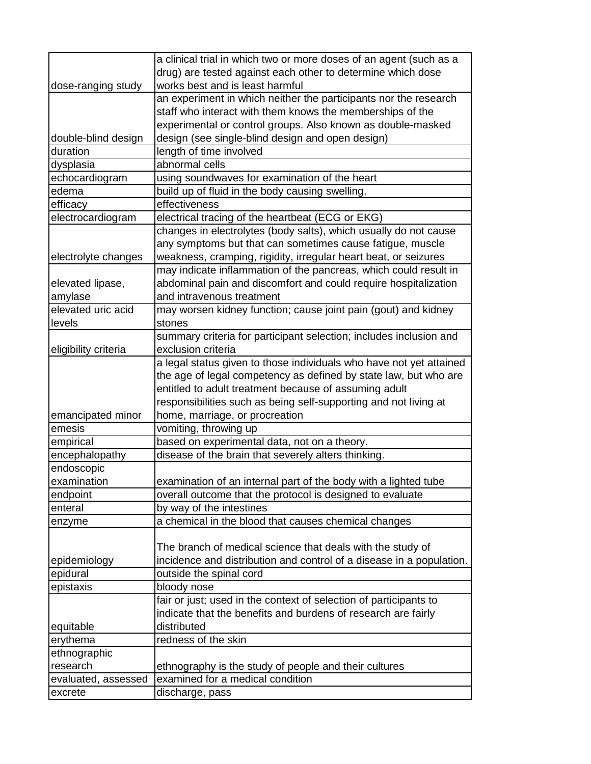|                                 | a clinical trial in which two or more doses of an agent (such as a   |
|---------------------------------|----------------------------------------------------------------------|
|                                 | drug) are tested against each other to determine which dose          |
| dose-ranging study              | works best and is least harmful                                      |
|                                 | an experiment in which neither the participants nor the research     |
|                                 | staff who interact with them knows the memberships of the            |
|                                 | experimental or control groups. Also known as double-masked          |
|                                 |                                                                      |
| double-blind design<br>duration | design (see single-blind design and open design)                     |
|                                 | length of time involved<br>abnormal cells                            |
| dysplasia                       |                                                                      |
| echocardiogram                  | using soundwaves for examination of the heart                        |
| edema                           | build up of fluid in the body causing swelling.                      |
| efficacy                        | effectiveness                                                        |
| electrocardiogram               | electrical tracing of the heartbeat (ECG or EKG)                     |
|                                 | changes in electrolytes (body salts), which usually do not cause     |
|                                 | any symptoms but that can sometimes cause fatigue, muscle            |
| electrolyte changes             | weakness, cramping, rigidity, irregular heart beat, or seizures      |
|                                 | may indicate inflammation of the pancreas, which could result in     |
| elevated lipase,                | abdominal pain and discomfort and could require hospitalization      |
| amylase                         | and intravenous treatment                                            |
| elevated uric acid              | may worsen kidney function; cause joint pain (gout) and kidney       |
| levels                          | stones                                                               |
|                                 | summary criteria for participant selection; includes inclusion and   |
| eligibility criteria            | exclusion criteria                                                   |
|                                 | a legal status given to those individuals who have not yet attained  |
|                                 | the age of legal competency as defined by state law, but who are     |
|                                 | entitled to adult treatment because of assuming adult                |
|                                 | responsibilities such as being self-supporting and not living at     |
| emancipated minor               | home, marriage, or procreation                                       |
| emesis                          | vomiting, throwing up                                                |
| empirical                       | based on experimental data, not on a theory.                         |
| encephalopathy                  | disease of the brain that severely alters thinking.                  |
| endoscopic                      |                                                                      |
| examination                     | examination of an internal part of the body with a lighted tube      |
| endpoint                        | overall outcome that the protocol is designed to evaluate            |
| enteral                         | by way of the intestines                                             |
| enzyme                          | a chemical in the blood that causes chemical changes                 |
|                                 |                                                                      |
|                                 | The branch of medical science that deals with the study of           |
| epidemiology                    | incidence and distribution and control of a disease in a population. |
| epidural                        | outside the spinal cord                                              |
| epistaxis                       | bloody nose                                                          |
|                                 | fair or just; used in the context of selection of participants to    |
|                                 | indicate that the benefits and burdens of research are fairly        |
| equitable                       | distributed                                                          |
| erythema                        | redness of the skin                                                  |
| ethnographic                    |                                                                      |
| research                        | ethnography is the study of people and their cultures                |
| evaluated, assessed             | examined for a medical condition                                     |
| excrete                         | discharge, pass                                                      |
|                                 |                                                                      |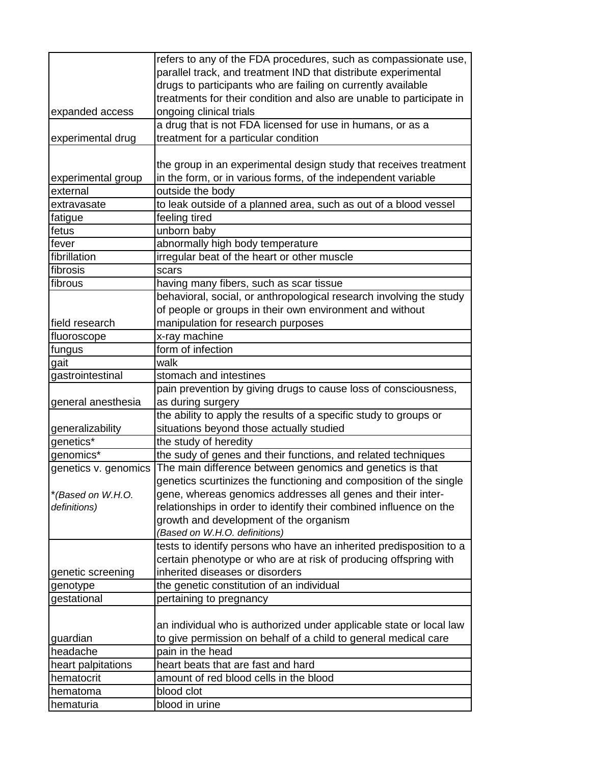|                      | refers to any of the FDA procedures, such as compassionate use,      |
|----------------------|----------------------------------------------------------------------|
|                      | parallel track, and treatment IND that distribute experimental       |
|                      | drugs to participants who are failing on currently available         |
|                      | treatments for their condition and also are unable to participate in |
| expanded access      | ongoing clinical trials                                              |
|                      | a drug that is not FDA licensed for use in humans, or as a           |
| experimental drug    | treatment for a particular condition                                 |
|                      |                                                                      |
|                      | the group in an experimental design study that receives treatment    |
| experimental group   | in the form, or in various forms, of the independent variable        |
| external             | outside the body                                                     |
| extravasate          | to leak outside of a planned area, such as out of a blood vessel     |
| fatigue              | feeling tired                                                        |
| fetus                | unborn baby                                                          |
| fever                | abnormally high body temperature                                     |
| fibrillation         | irregular beat of the heart or other muscle                          |
| fibrosis             | scars                                                                |
| fibrous              | having many fibers, such as scar tissue                              |
|                      | behavioral, social, or anthropological research involving the study  |
|                      | of people or groups in their own environment and without             |
| field research       | manipulation for research purposes                                   |
| fluoroscope          | x-ray machine                                                        |
| fungus               | form of infection                                                    |
| gait                 | walk                                                                 |
| gastrointestinal     | stomach and intestines                                               |
|                      | pain prevention by giving drugs to cause loss of consciousness,      |
| general anesthesia   | as during surgery                                                    |
|                      | the ability to apply the results of a specific study to groups or    |
| generalizability     | situations beyond those actually studied                             |
| genetics*            | the study of heredity                                                |
| genomics*            | the sudy of genes and their functions, and related techniques        |
| genetics v. genomics | The main difference between genomics and genetics is that            |
|                      | genetics scurtinizes the functioning and composition of the single   |
| *(Based on W.H.O.    | gene, whereas genomics addresses all genes and their inter-          |
| definitions)         | relationships in order to identify their combined influence on the   |
|                      | growth and development of the organism                               |
|                      | (Based on W.H.O. definitions)                                        |
|                      | tests to identify persons who have an inherited predisposition to a  |
|                      | certain phenotype or who are at risk of producing offspring with     |
| genetic screening    | inherited diseases or disorders                                      |
| genotype             | the genetic constitution of an individual                            |
| gestational          | pertaining to pregnancy                                              |
|                      |                                                                      |
|                      | an individual who is authorized under applicable state or local law  |
| guardian             | to give permission on behalf of a child to general medical care      |
| headache             | pain in the head                                                     |
| heart palpitations   | heart beats that are fast and hard                                   |
| hematocrit           | amount of red blood cells in the blood                               |
| hematoma             | blood clot                                                           |
| hematuria            | blood in urine                                                       |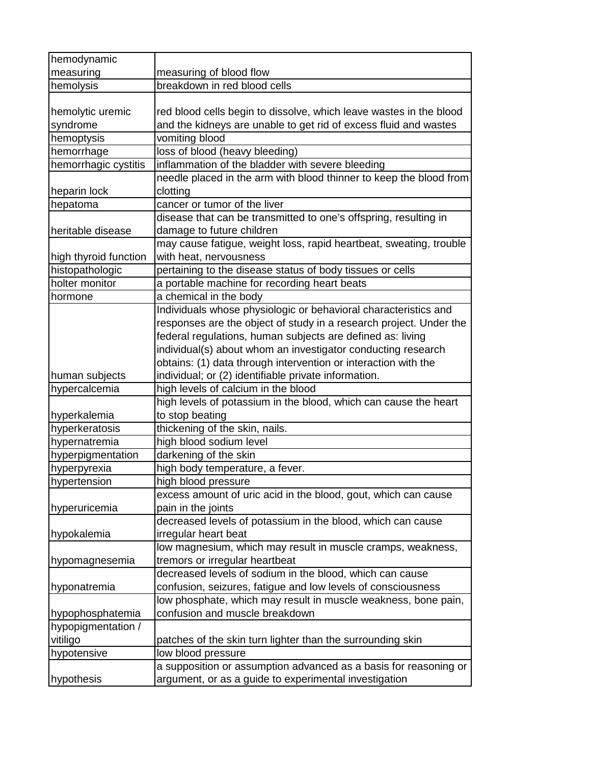| hemodynamic           |                                                                    |
|-----------------------|--------------------------------------------------------------------|
| measuring             | measuring of blood flow                                            |
| hemolysis             | breakdown in red blood cells                                       |
|                       |                                                                    |
| hemolytic uremic      | red blood cells begin to dissolve, which leave wastes in the blood |
| syndrome              | and the kidneys are unable to get rid of excess fluid and wastes   |
| hemoptysis            | vomiting blood                                                     |
| hemorrhage            | loss of blood (heavy bleeding)                                     |
| hemorrhagic cystitis  | inflammation of the bladder with severe bleeding                   |
|                       | needle placed in the arm with blood thinner to keep the blood from |
| heparin lock          | clotting                                                           |
| hepatoma              | cancer or tumor of the liver                                       |
|                       | disease that can be transmitted to one's offspring, resulting in   |
| heritable disease     | damage to future children                                          |
|                       | may cause fatigue, weight loss, rapid heartbeat, sweating, trouble |
| high thyroid function | with heat, nervousness                                             |
| histopathologic       | pertaining to the disease status of body tissues or cells          |
| holter monitor        | a portable machine for recording heart beats                       |
| hormone               | a chemical in the body                                             |
|                       | Individuals whose physiologic or behavioral characteristics and    |
|                       | responses are the object of study in a research project. Under the |
|                       | federal regulations, human subjects are defined as: living         |
|                       | individual(s) about whom an investigator conducting research       |
|                       | obtains: (1) data through intervention or interaction with the     |
| human subjects        | individual; or (2) identifiable private information.               |
| hypercalcemia         | high levels of calcium in the blood                                |
|                       | high levels of potassium in the blood, which can cause the heart   |
| hyperkalemia          | to stop beating                                                    |
| hyperkeratosis        | thickening of the skin, nails.                                     |
| hypernatremia         | high blood sodium level                                            |
| hyperpigmentation     | darkening of the skin                                              |
| hyperpyrexia          | high body temperature, a fever.                                    |
| hypertension          | high blood pressure                                                |
|                       | excess amount of uric acid in the blood, gout, which can cause     |
| hyperuricemia         | pain in the joints                                                 |
|                       | decreased levels of potassium in the blood, which can cause        |
| hypokalemia           | irregular heart beat                                               |
|                       | low magnesium, which may result in muscle cramps, weakness,        |
| hypomagnesemia        | tremors or irregular heartbeat                                     |
|                       | decreased levels of sodium in the blood, which can cause           |
| hyponatremia          | confusion, seizures, fatigue and low levels of consciousness       |
|                       | low phosphate, which may result in muscle weakness, bone pain,     |
| hypophosphatemia      | confusion and muscle breakdown                                     |
| hypopigmentation /    |                                                                    |
| vitiligo              | patches of the skin turn lighter than the surrounding skin         |
| hypotensive           | low blood pressure                                                 |
|                       | a supposition or assumption advanced as a basis for reasoning or   |
| hypothesis            | argument, or as a guide to experimental investigation              |
|                       |                                                                    |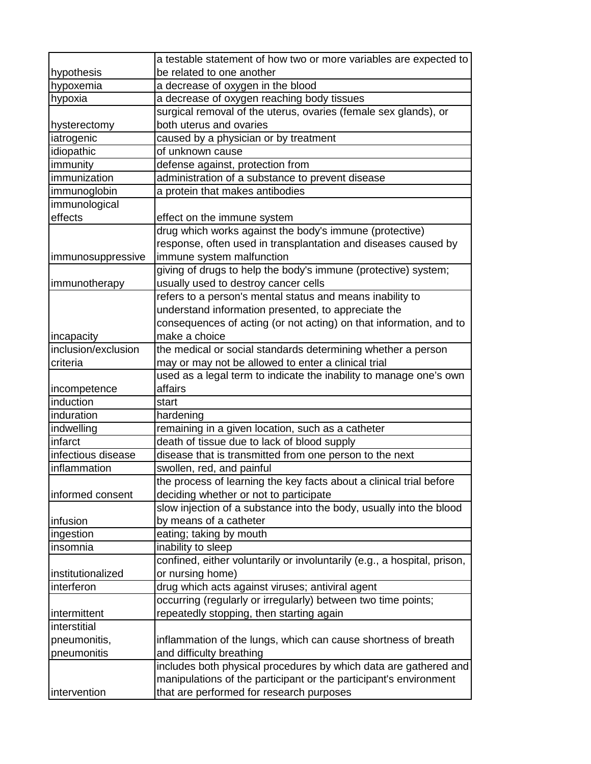|                                    | a testable statement of how two or more variables are expected to                                             |
|------------------------------------|---------------------------------------------------------------------------------------------------------------|
| hypothesis                         | be related to one another                                                                                     |
| hypoxemia                          | a decrease of oxygen in the blood                                                                             |
| hypoxia                            | a decrease of oxygen reaching body tissues                                                                    |
|                                    | surgical removal of the uterus, ovaries (female sex glands), or                                               |
| hysterectomy                       | both uterus and ovaries                                                                                       |
| iatrogenic                         | caused by a physician or by treatment                                                                         |
| idiopathic                         | of unknown cause                                                                                              |
| immunity                           | defense against, protection from                                                                              |
| immunization                       | administration of a substance to prevent disease                                                              |
| immunoglobin                       | a protein that makes antibodies                                                                               |
| immunological                      |                                                                                                               |
| effects                            | effect on the immune system                                                                                   |
|                                    | drug which works against the body's immune (protective)                                                       |
|                                    | response, often used in transplantation and diseases caused by                                                |
| <i>immunosuppressive</i>           | immune system malfunction                                                                                     |
|                                    | giving of drugs to help the body's immune (protective) system;                                                |
| immunotherapy                      | usually used to destroy cancer cells                                                                          |
|                                    | refers to a person's mental status and means inability to                                                     |
|                                    | understand information presented, to appreciate the                                                           |
|                                    | consequences of acting (or not acting) on that information, and to                                            |
| incapacity                         | make a choice                                                                                                 |
| inclusion/exclusion                | the medical or social standards determining whether a person                                                  |
| criteria                           | may or may not be allowed to enter a clinical trial                                                           |
|                                    | used as a legal term to indicate the inability to manage one's own                                            |
| incompetence                       | affairs                                                                                                       |
| induction                          | start                                                                                                         |
| induration                         | hardening                                                                                                     |
| indwelling                         | remaining in a given location, such as a catheter                                                             |
| infarct                            | death of tissue due to lack of blood supply                                                                   |
| infectious disease<br>inflammation | disease that is transmitted from one person to the next                                                       |
|                                    | swollen, red, and painful<br>the process of learning the key facts about a clinical trial before              |
| informed consent                   |                                                                                                               |
|                                    | deciding whether or not to participate<br>slow injection of a substance into the body, usually into the blood |
| infusion                           | by means of a catheter                                                                                        |
| ingestion                          | eating; taking by mouth                                                                                       |
| insomnia                           | inability to sleep                                                                                            |
|                                    | confined, either voluntarily or involuntarily (e.g., a hospital, prison,                                      |
| institutionalized                  | or nursing home)                                                                                              |
| interferon                         | drug which acts against viruses; antiviral agent                                                              |
|                                    | occurring (regularly or irregularly) between two time points;                                                 |
| intermittent                       | repeatedly stopping, then starting again                                                                      |
| interstitial                       |                                                                                                               |
| pneumonitis,                       | inflammation of the lungs, which can cause shortness of breath                                                |
| pneumonitis                        | and difficulty breathing                                                                                      |
|                                    | includes both physical procedures by which data are gathered and                                              |
|                                    | manipulations of the participant or the participant's environment                                             |
| intervention                       | that are performed for research purposes                                                                      |
|                                    |                                                                                                               |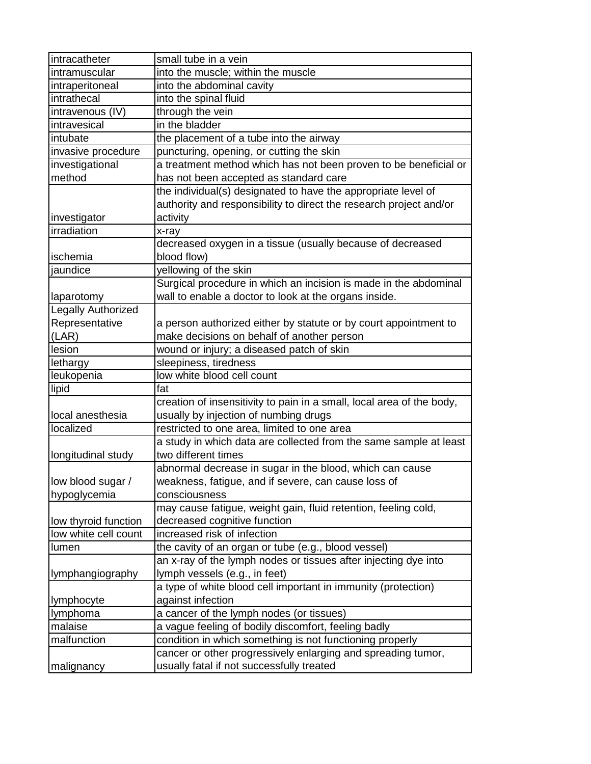| intracatheter        | small tube in a vein                                                  |
|----------------------|-----------------------------------------------------------------------|
| intramuscular        | into the muscle; within the muscle                                    |
| intraperitoneal      | into the abdominal cavity                                             |
| intrathecal          | into the spinal fluid                                                 |
| intravenous (IV)     | through the vein                                                      |
| intravesical         | in the bladder                                                        |
| intubate             | the placement of a tube into the airway                               |
| invasive procedure   | puncturing, opening, or cutting the skin                              |
| investigational      | a treatment method which has not been proven to be beneficial or      |
| method               | has not been accepted as standard care                                |
|                      | the individual(s) designated to have the appropriate level of         |
|                      | authority and responsibility to direct the research project and/or    |
| investigator         | activity                                                              |
| irradiation          | x-ray                                                                 |
|                      | decreased oxygen in a tissue (usually because of decreased            |
| ischemia             | blood flow)                                                           |
| jaundice             | yellowing of the skin                                                 |
|                      | Surgical procedure in which an incision is made in the abdominal      |
| laparotomy           | wall to enable a doctor to look at the organs inside.                 |
| Legally Authorized   |                                                                       |
| Representative       | a person authorized either by statute or by court appointment to      |
| (LAR)                | make decisions on behalf of another person                            |
| lesion               | wound or injury; a diseased patch of skin                             |
| lethargy             | sleepiness, tiredness                                                 |
| leukopenia           | low white blood cell count                                            |
| lipid                | fat                                                                   |
|                      | creation of insensitivity to pain in a small, local area of the body, |
| local anesthesia     | usually by injection of numbing drugs                                 |
| localized            | restricted to one area, limited to one area                           |
|                      | a study in which data are collected from the same sample at least     |
| longitudinal study   | two different times                                                   |
|                      | abnormal decrease in sugar in the blood, which can cause              |
| low blood sugar /    | weakness, fatigue, and if severe, can cause loss of                   |
| hypoglycemia         | consciousness                                                         |
|                      | may cause fatigue, weight gain, fluid retention, feeling cold,        |
| low thyroid function | decreased cognitive function                                          |
| low white cell count | increased risk of infection                                           |
| lumen                | the cavity of an organ or tube (e.g., blood vessel)                   |
|                      | an x-ray of the lymph nodes or tissues after injecting dye into       |
| lymphangiography     | lymph vessels (e.g., in feet)                                         |
|                      | a type of white blood cell important in immunity (protection)         |
| lymphocyte           | against infection                                                     |
| lymphoma             | a cancer of the lymph nodes (or tissues)                              |
| malaise              | a vague feeling of bodily discomfort, feeling badly                   |
| malfunction          | condition in which something is not functioning properly              |
|                      | cancer or other progressively enlarging and spreading tumor,          |
| malignancy           | usually fatal if not successfully treated                             |
|                      |                                                                       |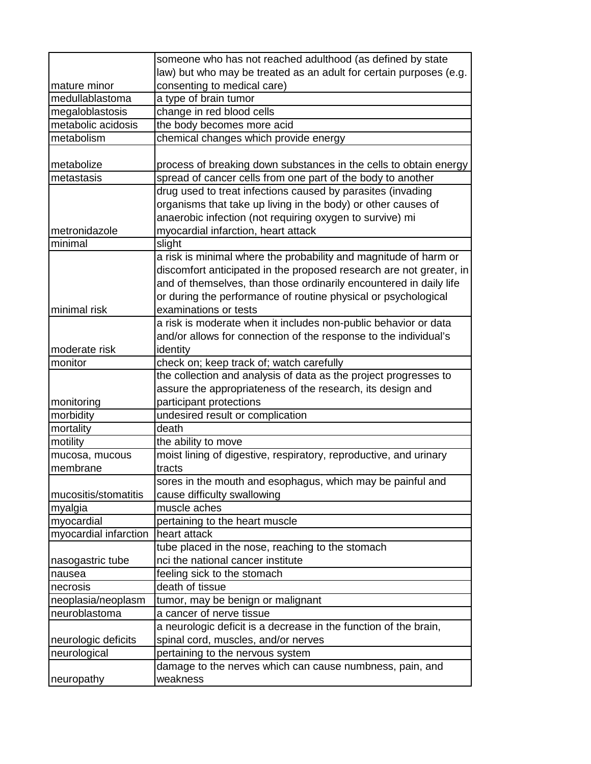|                       | someone who has not reached adulthood (as defined by state          |
|-----------------------|---------------------------------------------------------------------|
|                       | law) but who may be treated as an adult for certain purposes (e.g.  |
| mature minor          | consenting to medical care)                                         |
| medullablastoma       | a type of brain tumor                                               |
| megaloblastosis       | change in red blood cells                                           |
| metabolic acidosis    | the body becomes more acid                                          |
| metabolism            | chemical changes which provide energy                               |
|                       |                                                                     |
| metabolize            | process of breaking down substances in the cells to obtain energy   |
| metastasis            | spread of cancer cells from one part of the body to another         |
|                       | drug used to treat infections caused by parasites (invading         |
|                       | organisms that take up living in the body) or other causes of       |
|                       | anaerobic infection (not requiring oxygen to survive) mi            |
| metronidazole         | myocardial infarction, heart attack                                 |
| minimal               | slight                                                              |
|                       | a risk is minimal where the probability and magnitude of harm or    |
|                       | discomfort anticipated in the proposed research are not greater, in |
|                       | and of themselves, than those ordinarily encountered in daily life  |
|                       | or during the performance of routine physical or psychological      |
| minimal risk          | examinations or tests                                               |
|                       | a risk is moderate when it includes non-public behavior or data     |
|                       | and/or allows for connection of the response to the individual's    |
| moderate risk         | identity                                                            |
| monitor               | check on; keep track of; watch carefully                            |
|                       | the collection and analysis of data as the project progresses to    |
|                       | assure the appropriateness of the research, its design and          |
| monitoring            | participant protections                                             |
| morbidity             | undesired result or complication                                    |
| mortality             | death                                                               |
| motility              | the ability to move                                                 |
| mucosa, mucous        | moist lining of digestive, respiratory, reproductive, and urinary   |
| membrane              | tracts                                                              |
|                       | sores in the mouth and esophagus, which may be painful and          |
| mucositis/stomatitis  | cause difficulty swallowing                                         |
| myalgia               | muscle aches                                                        |
| myocardial            | pertaining to the heart muscle                                      |
| myocardial infarction | heart attack                                                        |
|                       | tube placed in the nose, reaching to the stomach                    |
| nasogastric tube      | nci the national cancer institute                                   |
| nausea                | feeling sick to the stomach                                         |
| necrosis              | death of tissue                                                     |
| neoplasia/neoplasm    | tumor, may be benign or malignant                                   |
| neuroblastoma         | a cancer of nerve tissue                                            |
|                       | a neurologic deficit is a decrease in the function of the brain,    |
| neurologic deficits   | spinal cord, muscles, and/or nerves                                 |
| neurological          | pertaining to the nervous system                                    |
|                       | damage to the nerves which can cause numbness, pain, and            |
| neuropathy            | weakness                                                            |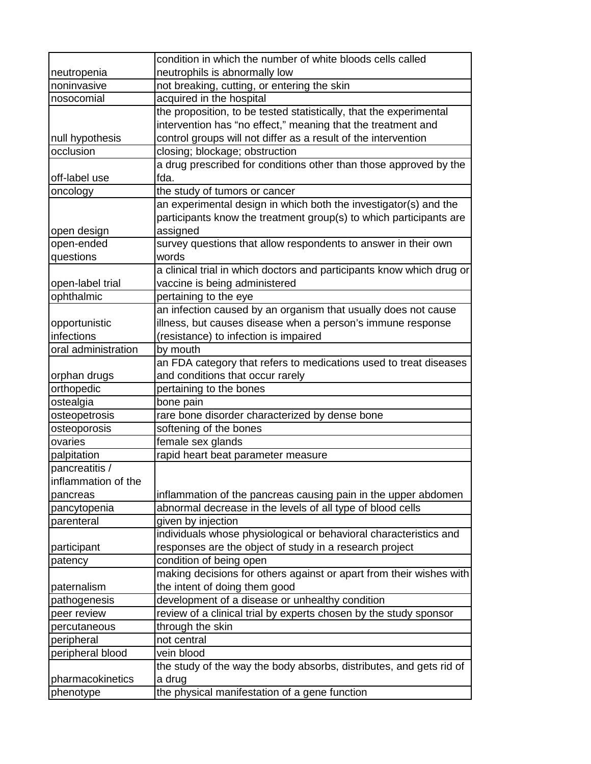|                     | condition in which the number of white bloods cells called            |
|---------------------|-----------------------------------------------------------------------|
| neutropenia         | neutrophils is abnormally low                                         |
| noninvasive         | not breaking, cutting, or entering the skin                           |
| nosocomial          | acquired in the hospital                                              |
|                     | the proposition, to be tested statistically, that the experimental    |
|                     | intervention has "no effect," meaning that the treatment and          |
| null hypothesis     | control groups will not differ as a result of the intervention        |
| occlusion           | closing; blockage; obstruction                                        |
|                     | a drug prescribed for conditions other than those approved by the     |
| off-label use       | fda.                                                                  |
| oncology            | the study of tumors or cancer                                         |
|                     | an experimental design in which both the investigator(s) and the      |
|                     | participants know the treatment group(s) to which participants are    |
| open design         | assigned                                                              |
| open-ended          | survey questions that allow respondents to answer in their own        |
| questions           | words                                                                 |
|                     | a clinical trial in which doctors and participants know which drug or |
| open-label trial    | vaccine is being administered                                         |
| ophthalmic          | pertaining to the eye                                                 |
|                     | an infection caused by an organism that usually does not cause        |
| opportunistic       | illness, but causes disease when a person's immune response           |
| infections          | (resistance) to infection is impaired                                 |
| oral administration | by mouth                                                              |
|                     | an FDA category that refers to medications used to treat diseases     |
| orphan drugs        | and conditions that occur rarely                                      |
| orthopedic          | pertaining to the bones                                               |
| ostealgia           | bone pain                                                             |
| osteopetrosis       | rare bone disorder characterized by dense bone                        |
| osteoporosis        | softening of the bones                                                |
| ovaries             | female sex glands                                                     |
| palpitation         | rapid heart beat parameter measure                                    |
| pancreatitis /      |                                                                       |
| inflammation of the |                                                                       |
| pancreas            | inflammation of the pancreas causing pain in the upper abdomen        |
| pancytopenia        | abnormal decrease in the levels of all type of blood cells            |
| parenteral          | given by injection                                                    |
|                     | individuals whose physiological or behavioral characteristics and     |
| participant         | responses are the object of study in a research project               |
| patency             | condition of being open                                               |
|                     | making decisions for others against or apart from their wishes with   |
| paternalism         | the intent of doing them good                                         |
| pathogenesis        | development of a disease or unhealthy condition                       |
| peer review         | review of a clinical trial by experts chosen by the study sponsor     |
| percutaneous        | through the skin                                                      |
| peripheral          | not central                                                           |
| peripheral blood    | vein blood                                                            |
|                     | the study of the way the body absorbs, distributes, and gets rid of   |
| pharmacokinetics    | a drug                                                                |
| phenotype           | the physical manifestation of a gene function                         |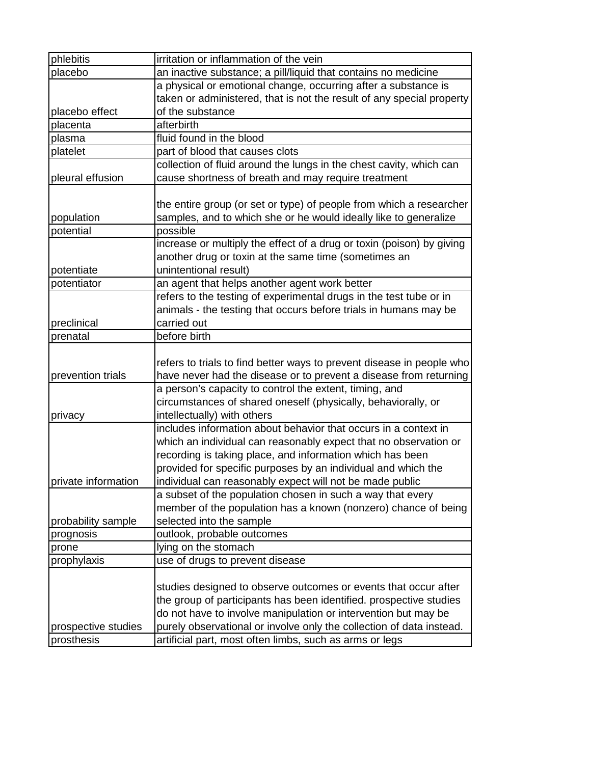| phlebitis           | irritation or inflammation of the vein                                |
|---------------------|-----------------------------------------------------------------------|
| placebo             | an inactive substance; a pill/liquid that contains no medicine        |
|                     | a physical or emotional change, occurring after a substance is        |
|                     | taken or administered, that is not the result of any special property |
| placebo effect      | of the substance                                                      |
| placenta            | afterbirth                                                            |
| plasma              | fluid found in the blood                                              |
| platelet            | part of blood that causes clots                                       |
|                     | collection of fluid around the lungs in the chest cavity, which can   |
| pleural effusion    | cause shortness of breath and may require treatment                   |
|                     |                                                                       |
|                     | the entire group (or set or type) of people from which a researcher   |
| population          | samples, and to which she or he would ideally like to generalize      |
| potential           | possible                                                              |
|                     | increase or multiply the effect of a drug or toxin (poison) by giving |
|                     | another drug or toxin at the same time (sometimes an                  |
| potentiate          | unintentional result)                                                 |
| potentiator         | an agent that helps another agent work better                         |
|                     | refers to the testing of experimental drugs in the test tube or in    |
|                     | animals - the testing that occurs before trials in humans may be      |
| preclinical         | carried out                                                           |
| prenatal            | before birth                                                          |
|                     |                                                                       |
|                     | refers to trials to find better ways to prevent disease in people who |
| prevention trials   | have never had the disease or to prevent a disease from returning     |
|                     | a person's capacity to control the extent, timing, and                |
|                     | circumstances of shared oneself (physically, behaviorally, or         |
| privacy             | intellectually) with others                                           |
|                     | includes information about behavior that occurs in a context in       |
|                     | which an individual can reasonably expect that no observation or      |
|                     | recording is taking place, and information which has been             |
|                     | provided for specific purposes by an individual and which the         |
| private information | individual can reasonably expect will not be made public              |
|                     | a subset of the population chosen in such a way that every            |
|                     | member of the population has a known (nonzero) chance of being        |
| probability sample  | selected into the sample                                              |
| prognosis           | outlook, probable outcomes                                            |
| prone               | lying on the stomach                                                  |
| prophylaxis         | use of drugs to prevent disease                                       |
|                     |                                                                       |
|                     | studies designed to observe outcomes or events that occur after       |
|                     |                                                                       |
|                     | the group of participants has been identified. prospective studies    |
|                     | do not have to involve manipulation or intervention but may be        |
| prospective studies | purely observational or involve only the collection of data instead.  |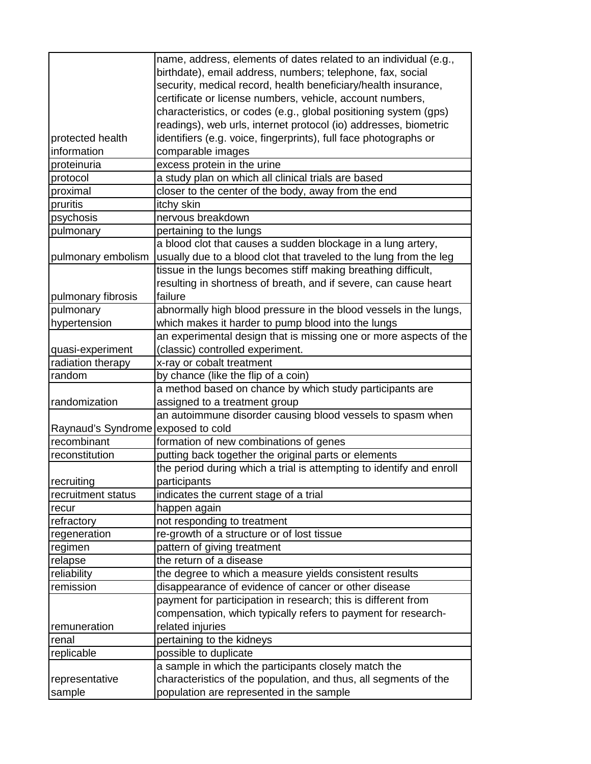|                                    | name, address, elements of dates related to an individual (e.g.,     |
|------------------------------------|----------------------------------------------------------------------|
|                                    | birthdate), email address, numbers; telephone, fax, social           |
|                                    | security, medical record, health beneficiary/health insurance,       |
|                                    | certificate or license numbers, vehicle, account numbers,            |
|                                    | characteristics, or codes (e.g., global positioning system (gps)     |
|                                    | readings), web urls, internet protocol (io) addresses, biometric     |
| protected health                   | identifiers (e.g. voice, fingerprints), full face photographs or     |
| information                        | comparable images                                                    |
| proteinuria                        | excess protein in the urine                                          |
| protocol                           | a study plan on which all clinical trials are based                  |
| proximal                           | closer to the center of the body, away from the end                  |
| pruritis                           | itchy skin                                                           |
| psychosis                          | nervous breakdown                                                    |
| pulmonary                          | pertaining to the lungs                                              |
|                                    | a blood clot that causes a sudden blockage in a lung artery,         |
| pulmonary embolism                 | usually due to a blood clot that traveled to the lung from the leg   |
|                                    | tissue in the lungs becomes stiff making breathing difficult,        |
|                                    | resulting in shortness of breath, and if severe, can cause heart     |
| pulmonary fibrosis                 | failure                                                              |
| pulmonary                          | abnormally high blood pressure in the blood vessels in the lungs,    |
| hypertension                       | which makes it harder to pump blood into the lungs                   |
|                                    | an experimental design that is missing one or more aspects of the    |
| quasi-experiment                   | (classic) controlled experiment.                                     |
| radiation therapy                  | x-ray or cobalt treatment                                            |
| random                             | by chance (like the flip of a coin)                                  |
|                                    | a method based on chance by which study participants are             |
| randomization                      | assigned to a treatment group                                        |
|                                    | an autoimmune disorder causing blood vessels to spasm when           |
| Raynaud's Syndrome exposed to cold |                                                                      |
| recombinant                        | formation of new combinations of genes                               |
| reconstitution                     | putting back together the original parts or elements                 |
|                                    | the period during which a trial is attempting to identify and enroll |
| recruiting                         | participants                                                         |
| recruitment status                 | indicates the current stage of a trial                               |
| recur                              | happen again                                                         |
| refractory                         | not responding to treatment                                          |
| regeneration                       | re-growth of a structure or of lost tissue                           |
| regimen                            | pattern of giving treatment                                          |
| relapse                            | the return of a disease                                              |
| reliability                        | the degree to which a measure yields consistent results              |
| remission                          | disappearance of evidence of cancer or other disease                 |
|                                    | payment for participation in research; this is different from        |
|                                    | compensation, which typically refers to payment for research-        |
| remuneration                       | related injuries                                                     |
| renal                              | pertaining to the kidneys                                            |
| replicable                         | possible to duplicate                                                |
|                                    | a sample in which the participants closely match the                 |
| representative                     | characteristics of the population, and thus, all segments of the     |
| sample                             | population are represented in the sample                             |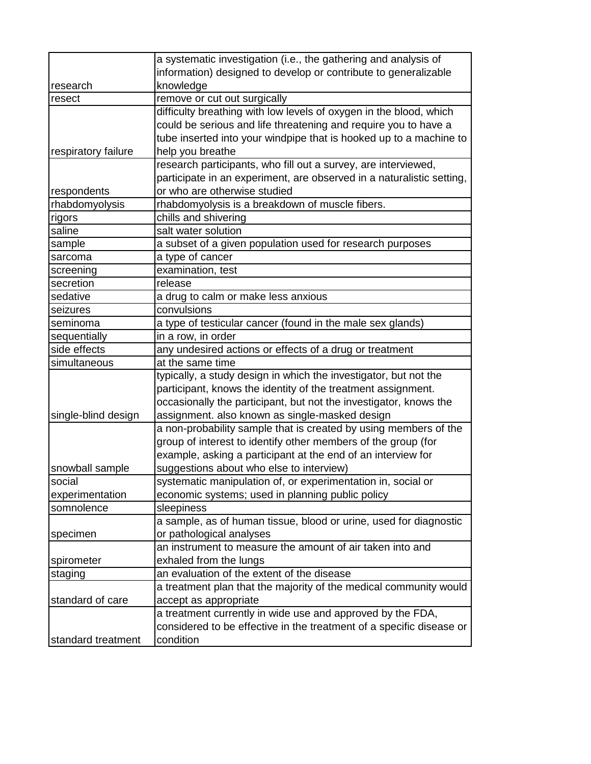|                     | a systematic investigation (i.e., the gathering and analysis of       |
|---------------------|-----------------------------------------------------------------------|
|                     | information) designed to develop or contribute to generalizable       |
| research            | knowledge                                                             |
| resect              | remove or cut out surgically                                          |
|                     | difficulty breathing with low levels of oxygen in the blood, which    |
|                     | could be serious and life threatening and require you to have a       |
|                     | tube inserted into your windpipe that is hooked up to a machine to    |
| respiratory failure | help you breathe                                                      |
|                     | research participants, who fill out a survey, are interviewed,        |
|                     | participate in an experiment, are observed in a naturalistic setting, |
| respondents         | or who are otherwise studied                                          |
| rhabdomyolysis      | rhabdomyolysis is a breakdown of muscle fibers.                       |
| rigors              | chills and shivering                                                  |
| saline              | salt water solution                                                   |
| sample              | a subset of a given population used for research purposes             |
| sarcoma             | a type of cancer                                                      |
| screening           | examination, test                                                     |
| secretion           | release                                                               |
| sedative            | a drug to calm or make less anxious                                   |
| seizures            | convulsions                                                           |
| seminoma            | a type of testicular cancer (found in the male sex glands)            |
| sequentially        | in a row, in order                                                    |
| side effects        | any undesired actions or effects of a drug or treatment               |
| simultaneous        | at the same time                                                      |
|                     | typically, a study design in which the investigator, but not the      |
|                     | participant, knows the identity of the treatment assignment.          |
|                     | occasionally the participant, but not the investigator, knows the     |
| single-blind design | assignment. also known as single-masked design                        |
|                     | a non-probability sample that is created by using members of the      |
|                     | group of interest to identify other members of the group (for         |
|                     | example, asking a participant at the end of an interview for          |
| snowball sample     | suggestions about who else to interview)                              |
| social              | systematic manipulation of, or experimentation in, social or          |
| experimentation     | economic systems; used in planning public policy                      |
| somnolence          | sleepiness                                                            |
|                     | a sample, as of human tissue, blood or urine, used for diagnostic     |
| specimen            | or pathological analyses                                              |
|                     | an instrument to measure the amount of air taken into and             |
| spirometer          | exhaled from the lungs                                                |
| staging             | an evaluation of the extent of the disease                            |
|                     | a treatment plan that the majority of the medical community would     |
| standard of care    | accept as appropriate                                                 |
|                     | a treatment currently in wide use and approved by the FDA,            |
|                     | considered to be effective in the treatment of a specific disease or  |
| standard treatment  | condition                                                             |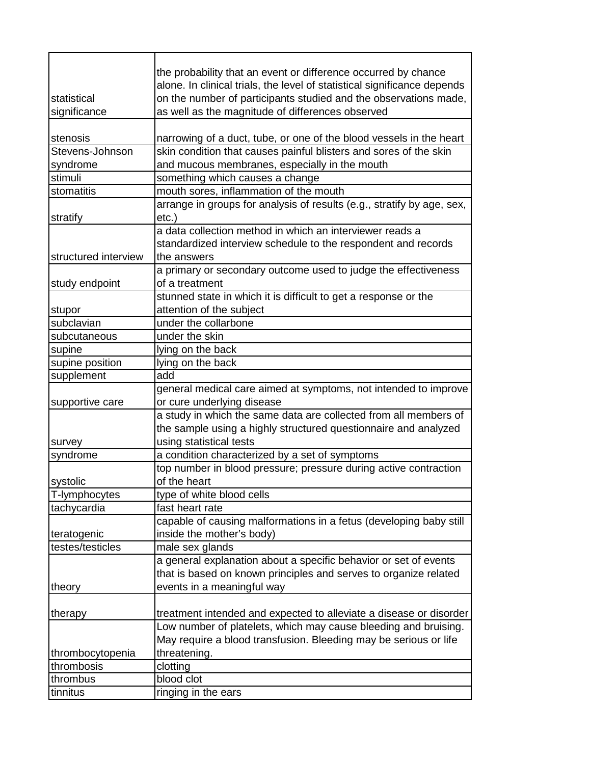| statistical          | the probability that an event or difference occurred by chance<br>alone. In clinical trials, the level of statistical significance depends<br>on the number of participants studied and the observations made, |
|----------------------|----------------------------------------------------------------------------------------------------------------------------------------------------------------------------------------------------------------|
| significance         | as well as the magnitude of differences observed                                                                                                                                                               |
|                      |                                                                                                                                                                                                                |
| stenosis             | narrowing of a duct, tube, or one of the blood vessels in the heart                                                                                                                                            |
| Stevens-Johnson      | skin condition that causes painful blisters and sores of the skin                                                                                                                                              |
| syndrome             | and mucous membranes, especially in the mouth                                                                                                                                                                  |
| stimuli              | something which causes a change                                                                                                                                                                                |
| stomatitis           | mouth sores, inflammation of the mouth                                                                                                                                                                         |
|                      | arrange in groups for analysis of results (e.g., stratify by age, sex,                                                                                                                                         |
| stratify             | $etc.$ )                                                                                                                                                                                                       |
|                      | a data collection method in which an interviewer reads a                                                                                                                                                       |
|                      | standardized interview schedule to the respondent and records                                                                                                                                                  |
| structured interview | the answers                                                                                                                                                                                                    |
|                      | a primary or secondary outcome used to judge the effectiveness                                                                                                                                                 |
| study endpoint       | of a treatment                                                                                                                                                                                                 |
|                      | stunned state in which it is difficult to get a response or the                                                                                                                                                |
| stupor               | attention of the subject                                                                                                                                                                                       |
| subclavian           | under the collarbone                                                                                                                                                                                           |
| subcutaneous         | under the skin                                                                                                                                                                                                 |
| supine               | lying on the back                                                                                                                                                                                              |
| supine position      | lying on the back                                                                                                                                                                                              |
| supplement           | add                                                                                                                                                                                                            |
|                      | general medical care aimed at symptoms, not intended to improve                                                                                                                                                |
| supportive care      | or cure underlying disease                                                                                                                                                                                     |
|                      | a study in which the same data are collected from all members of                                                                                                                                               |
|                      | the sample using a highly structured questionnaire and analyzed                                                                                                                                                |
| survey               | using statistical tests                                                                                                                                                                                        |
| syndrome             | a condition characterized by a set of symptoms                                                                                                                                                                 |
|                      | top number in blood pressure; pressure during active contraction                                                                                                                                               |
| systolic             | of the heart                                                                                                                                                                                                   |
| T-lymphocytes        | type of white blood cells                                                                                                                                                                                      |
| tachycardia          | fast heart rate                                                                                                                                                                                                |
|                      | capable of causing malformations in a fetus (developing baby still                                                                                                                                             |
| teratogenic          | inside the mother's body)                                                                                                                                                                                      |
| testes/testicles     | male sex glands                                                                                                                                                                                                |
|                      | a general explanation about a specific behavior or set of events                                                                                                                                               |
|                      | that is based on known principles and serves to organize related                                                                                                                                               |
| theory               | events in a meaningful way                                                                                                                                                                                     |
|                      |                                                                                                                                                                                                                |
| therapy              | treatment intended and expected to alleviate a disease or disorder                                                                                                                                             |
|                      | Low number of platelets, which may cause bleeding and bruising.                                                                                                                                                |
|                      | May require a blood transfusion. Bleeding may be serious or life                                                                                                                                               |
| thrombocytopenia     | threatening.                                                                                                                                                                                                   |
| thrombosis           | clotting                                                                                                                                                                                                       |
| thrombus             | blood clot                                                                                                                                                                                                     |
| tinnitus             | ringing in the ears                                                                                                                                                                                            |